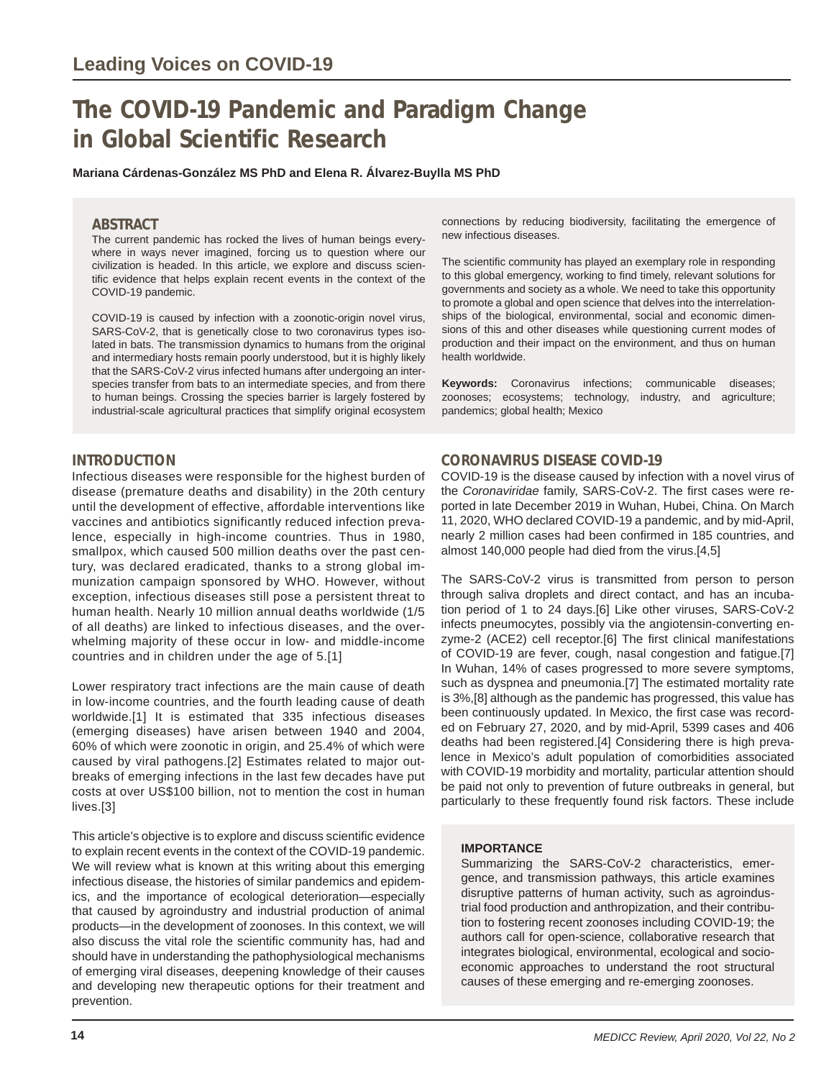# **The COVID-19 Pandemic and Paradigm Change in Global Scientific Research**

**Mariana Cárdenas-González MS PhD and Elena R. Álvarez-Buylla MS PhD**

### **ABSTRACT**

The current pandemic has rocked the lives of human beings everywhere in ways never imagined, forcing us to question where our civilization is headed. In this article, we explore and discuss scientific evidence that helps explain recent events in the context of the COVID-19 pandemic.

COVID-19 is caused by infection with a zoonotic-origin novel virus, SARS-CoV-2, that is genetically close to two coronavirus types isolated in bats. The transmission dynamics to humans from the original and intermediary hosts remain poorly understood, but it is highly likely that the SARS-CoV-2 virus infected humans after undergoing an interspecies transfer from bats to an intermediate species, and from there to human beings. Crossing the species barrier is largely fostered by industrial-scale agricultural practices that simplify original ecosystem

# **INTRODUCTION**

Infectious diseases were responsible for the highest burden of disease (premature deaths and disability) in the 20th century until the development of effective, affordable interventions like vaccines and antibiotics significantly reduced infection prevalence, especially in high-income countries. Thus in 1980, smallpox, which caused 500 million deaths over the past century, was declared eradicated, thanks to a strong global immunization campaign sponsored by WHO. However, without exception, infectious diseases still pose a persistent threat to human health. Nearly 10 million annual deaths worldwide (1/5 of all deaths) are linked to infectious diseases, and the overwhelming majority of these occur in low- and middle-income countries and in children under the age of 5.[1]

Lower respiratory tract infections are the main cause of death in low-income countries, and the fourth leading cause of death worldwide.[1] It is estimated that 335 infectious diseases (emerging diseases) have arisen between 1940 and 2004, 60% of which were zoonotic in origin, and 25.4% of which were caused by viral pathogens.[2] Estimates related to major outbreaks of emerging infections in the last few decades have put costs at over US\$100 billion, not to mention the cost in human lives.[3]

This article's objective is to explore and discuss scientific evidence to explain recent events in the context of the COVID-19 pandemic. We will review what is known at this writing about this emerging infectious disease, the histories of similar pandemics and epidemics, and the importance of ecological deterioration—especially that caused by agroindustry and industrial production of animal products—in the development of zoonoses. In this context, we will also discuss the vital role the scientific community has, had and should have in understanding the pathophysiological mechanisms of emerging viral diseases, deepening knowledge of their causes and developing new therapeutic options for their treatment and prevention.

connections by reducing biodiversity, facilitating the emergence of new infectious diseases.

The scientific community has played an exemplary role in responding to this global emergency, working to find timely, relevant solutions for governments and society as a whole. We need to take this opportunity to promote a global and open science that delves into the interrelationships of the biological, environmental, social and economic dimensions of this and other diseases while questioning current modes of production and their impact on the environment, and thus on human health worldwide.

**Keywords:** Coronavirus infections; communicable diseases; zoonoses; ecosystems; technology, industry, and agriculture; pandemics; global health; Mexico

### **CORONAVIRUS DISEASE COVID-19**

COVID-19 is the disease caused by infection with a novel virus of the *Coronaviridae* family, SARS-CoV-2. The first cases were reported in late December 2019 in Wuhan, Hubei, China. On March 11, 2020, WHO declared COVID-19 a pandemic, and by mid-April, nearly 2 million cases had been confirmed in 185 countries, and almost 140,000 people had died from the virus.[4,5]

The SARS-CoV-2 virus is transmitted from person to person through saliva droplets and direct contact, and has an incubation period of 1 to 24 days.[6] Like other viruses, SARS-CoV-2 infects pneumocytes, possibly via the angiotensin-converting enzyme-2 (ACE2) cell receptor.[6] The first clinical manifestations of COVID-19 are fever, cough, nasal congestion and fatigue.[7] In Wuhan, 14% of cases progressed to more severe symptoms, such as dyspnea and pneumonia.[7] The estimated mortality rate is 3%,[8] although as the pandemic has progressed, this value has been continuously updated. In Mexico, the first case was recorded on February 27, 2020, and by mid-April, 5399 cases and 406 deaths had been registered.[4] Considering there is high prevalence in Mexico's adult population of comorbidities associated with COVID-19 morbidity and mortality, particular attention should be paid not only to prevention of future outbreaks in general, but particularly to these frequently found risk factors. These include

#### **IMPORTANCE**

Summarizing the SARS-CoV-2 characteristics, emergence, and transmission pathways, this article examines disruptive patterns of human activity, such as agroindustrial food production and anthropization, and their contribution to fostering recent zoonoses including COVID-19; the authors call for open-science, collaborative research that integrates biological, environmental, ecological and socioeconomic approaches to understand the root structural causes of these emerging and re-emerging zoonoses.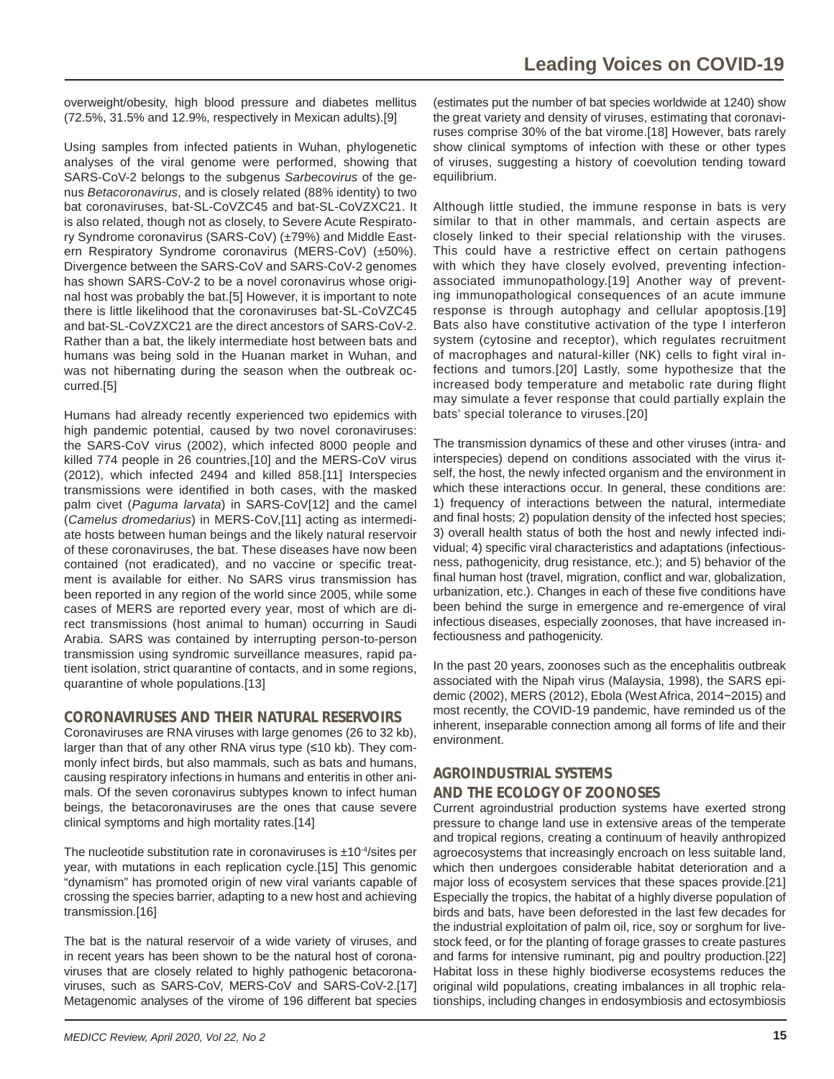overweight/obesity, high blood pressure and diabetes mellitus (72.5%, 31.5% and 12.9%, respectively in Mexican adults).[9]

Using samples from infected patients in Wuhan, phylogenetic analyses of the viral genome were performed, showing that SARS-CoV-2 belongs to the subgenus *Sarbecovirus* of the genus *Betacoronavirus*, and is closely related (88% identity) to two bat coronaviruses, bat-SL-CoVZC45 and bat-SL-CoVZXC21. It is also related, though not as closely, to Severe Acute Respiratory Syndrome coronavirus (SARS-CoV) (±79%) and Middle Eastern Respiratory Syndrome coronavirus (MERS-CoV) (±50%). Divergence between the SARS-CoV and SARS-CoV-2 genomes has shown SARS-CoV-2 to be a novel coronavirus whose original host was probably the bat.[5] However, it is important to note there is little likelihood that the coronaviruses bat-SL-CoVZC45 and bat-SL-CoVZXC21 are the direct ancestors of SARS-CoV-2. Rather than a bat, the likely intermediate host between bats and humans was being sold in the Huanan market in Wuhan, and was not hibernating during the season when the outbreak occurred.[5]

Humans had already recently experienced two epidemics with high pandemic potential, caused by two novel coronaviruses: the SARS-CoV virus (2002), which infected 8000 people and killed 774 people in 26 countries,[10] and the MERS-CoV virus (2012), which infected 2494 and killed 858.[11] Interspecies transmissions were identified in both cases, with the masked palm civet (*Paguma larvata*) in SARS-CoV[12] and the camel (*Camelus dromedarius*) in MERS-CoV,[11] acting as intermediate hosts between human beings and the likely natural reservoir of these coronaviruses, the bat. These diseases have now been contained (not eradicated), and no vaccine or specific treatment is available for either. No SARS virus transmission has been reported in any region of the world since 2005, while some cases of MERS are reported every year, most of which are direct transmissions (host animal to human) occurring in Saudi Arabia. SARS was contained by interrupting person-to-person transmission using syndromic surveillance measures, rapid patient isolation, strict quarantine of contacts, and in some regions, quarantine of whole populations.[13]

#### **CORONAVIRUSES AND THEIR NATURAL RESERVOIRS**

Coronaviruses are RNA viruses with large genomes (26 to 32 kb), larger than that of any other RNA virus type (≤10 kb). They commonly infect birds, but also mammals, such as bats and humans, causing respiratory infections in humans and enteritis in other animals. Of the seven coronavirus subtypes known to infect human beings, the betacoronaviruses are the ones that cause severe clinical symptoms and high mortality rates.[14]

The nucleotide substitution rate in coronaviruses is  $\pm 10^{-4}$ /sites per year, with mutations in each replication cycle.[15] This genomic "dynamism" has promoted origin of new viral variants capable of crossing the species barrier, adapting to a new host and achieving transmission.[16]

The bat is the natural reservoir of a wide variety of viruses, and in recent years has been shown to be the natural host of coronaviruses that are closely related to highly pathogenic betacoronaviruses, such as SARS-CoV, MERS-CoV and SARS-CoV-2.[17] Metagenomic analyses of the virome of 196 different bat species

(estimates put the number of bat species worldwide at 1240) show the great variety and density of viruses, estimating that coronaviruses comprise 30% of the bat virome.[18] However, bats rarely show clinical symptoms of infection with these or other types of viruses, suggesting a history of coevolution tending toward equilibrium.

Although little studied, the immune response in bats is very similar to that in other mammals, and certain aspects are closely linked to their special relationship with the viruses. This could have a restrictive effect on certain pathogens with which they have closely evolved, preventing infectionassociated immunopathology.[19] Another way of preventing immunopathological consequences of an acute immune response is through autophagy and cellular apoptosis.[19] Bats also have constitutive activation of the type I interferon system (cytosine and receptor), which regulates recruitment of macrophages and natural-killer (NK) cells to fight viral infections and tumors.[20] Lastly, some hypothesize that the increased body temperature and metabolic rate during flight may simulate a fever response that could partially explain the bats' special tolerance to viruses.[20]

The transmission dynamics of these and other viruses (intra- and interspecies) depend on conditions associated with the virus itself, the host, the newly infected organism and the environment in which these interactions occur. In general, these conditions are: 1) frequency of interactions between the natural, intermediate and final hosts; 2) population density of the infected host species; 3) overall health status of both the host and newly infected individual; 4) specific viral characteristics and adaptations (infectiousness, pathogenicity, drug resistance, etc.); and 5) behavior of the final human host (travel, migration, conflict and war, globalization, urbanization, etc.). Changes in each of these five conditions have been behind the surge in emergence and re-emergence of viral infectious diseases, especially zoonoses, that have increased infectiousness and pathogenicity.

In the past 20 years, zoonoses such as the encephalitis outbreak associated with the Nipah virus (Malaysia, 1998), the SARS epidemic (2002), MERS (2012), Ebola (West Africa, 2014−2015) and most recently, the COVID-19 pandemic, have reminded us of the inherent, inseparable connection among all forms of life and their environment.

# **AGROINDUSTRIAL SYSTEMS**

#### **AND THE ECOLOGY OF ZOONOSES**

Current agroindustrial production systems have exerted strong pressure to change land use in extensive areas of the temperate and tropical regions, creating a continuum of heavily anthropized agroecosystems that increasingly encroach on less suitable land, which then undergoes considerable habitat deterioration and a major loss of ecosystem services that these spaces provide.[21] Especially the tropics, the habitat of a highly diverse population of birds and bats, have been deforested in the last few decades for the industrial exploitation of palm oil, rice, soy or sorghum for livestock feed, or for the planting of forage grasses to create pastures and farms for intensive ruminant, pig and poultry production.[22] Habitat loss in these highly biodiverse ecosystems reduces the original wild populations, creating imbalances in all trophic relationships, including changes in endosymbiosis and ectosymbiosis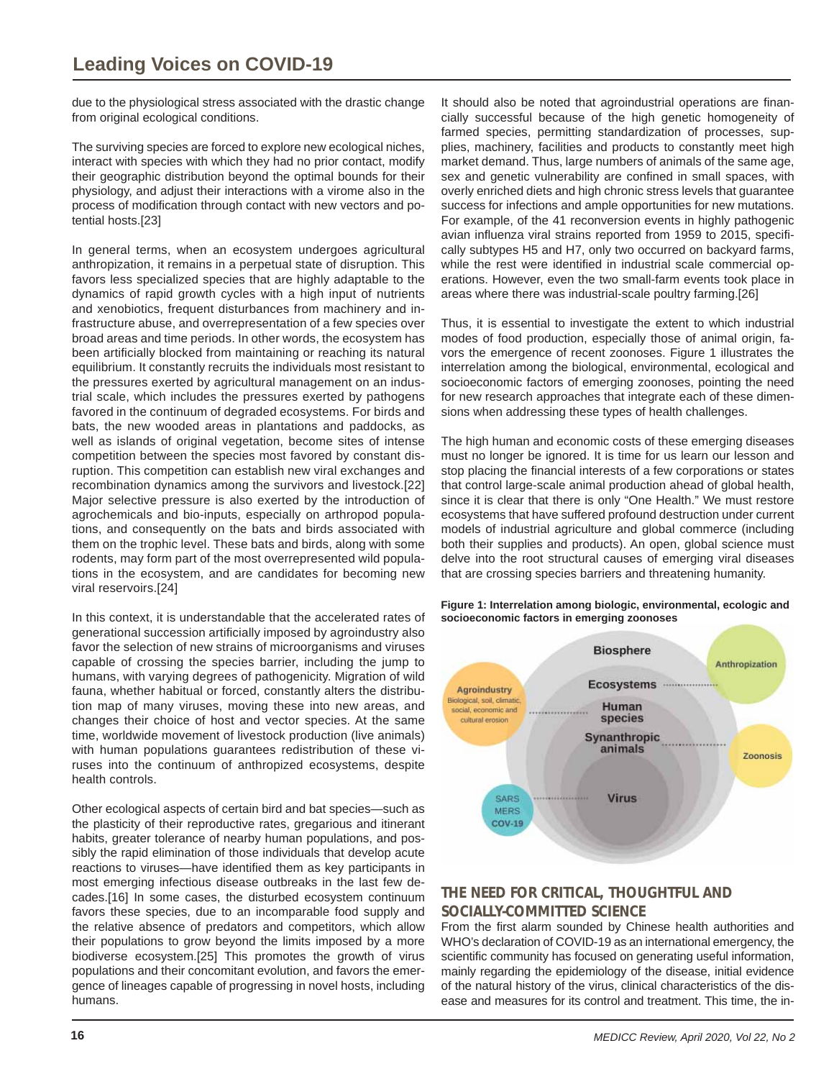due to the physiological stress associated with the drastic change from original ecological conditions.

The surviving species are forced to explore new ecological niches, interact with species with which they had no prior contact, modify their geographic distribution beyond the optimal bounds for their physiology, and adjust their interactions with a virome also in the process of modification through contact with new vectors and potential hosts.[23]

In general terms, when an ecosystem undergoes agricultural anthropization, it remains in a perpetual state of disruption. This favors less specialized species that are highly adaptable to the dynamics of rapid growth cycles with a high input of nutrients and xenobiotics, frequent disturbances from machinery and infrastructure abuse, and overrepresentation of a few species over broad areas and time periods. In other words, the ecosystem has been artificially blocked from maintaining or reaching its natural equilibrium. It constantly recruits the individuals most resistant to the pressures exerted by agricultural management on an industrial scale, which includes the pressures exerted by pathogens favored in the continuum of degraded ecosystems. For birds and bats, the new wooded areas in plantations and paddocks, as well as islands of original vegetation, become sites of intense competition between the species most favored by constant disruption. This competition can establish new viral exchanges and recombination dynamics among the survivors and livestock.[22] Major selective pressure is also exerted by the introduction of agrochemicals and bio-inputs, especially on arthropod populations, and consequently on the bats and birds associated with them on the trophic level. These bats and birds, along with some rodents, may form part of the most overrepresented wild populations in the ecosystem, and are candidates for becoming new viral reservoirs.[24]

In this context, it is understandable that the accelerated rates of generational succession artificially imposed by agroindustry also favor the selection of new strains of microorganisms and viruses capable of crossing the species barrier, including the jump to humans, with varying degrees of pathogenicity. Migration of wild fauna, whether habitual or forced, constantly alters the distribution map of many viruses, moving these into new areas, and changes their choice of host and vector species. At the same time, worldwide movement of livestock production (live animals) with human populations guarantees redistribution of these viruses into the continuum of anthropized ecosystems, despite health controls.

Other ecological aspects of certain bird and bat species—such as the plasticity of their reproductive rates, gregarious and itinerant habits, greater tolerance of nearby human populations, and possibly the rapid elimination of those individuals that develop acute reactions to viruses—have identified them as key participants in most emerging infectious disease outbreaks in the last few decades.[16] In some cases, the disturbed ecosystem continuum favors these species, due to an incomparable food supply and the relative absence of predators and competitors, which allow their populations to grow beyond the limits imposed by a more biodiverse ecosystem.[25] This promotes the growth of virus populations and their concomitant evolution, and favors the emergence of lineages capable of progressing in novel hosts, including humans.

It should also be noted that agroindustrial operations are financially successful because of the high genetic homogeneity of farmed species, permitting standardization of processes, supplies, machinery, facilities and products to constantly meet high market demand. Thus, large numbers of animals of the same age, sex and genetic vulnerability are confined in small spaces, with overly enriched diets and high chronic stress levels that guarantee success for infections and ample opportunities for new mutations. For example, of the 41 reconversion events in highly pathogenic avian influenza viral strains reported from 1959 to 2015, specifically subtypes H5 and H7, only two occurred on backyard farms, while the rest were identified in industrial scale commercial operations. However, even the two small-farm events took place in areas where there was industrial-scale poultry farming.[26]

Thus, it is essential to investigate the extent to which industrial modes of food production, especially those of animal origin, favors the emergence of recent zoonoses. Figure 1 illustrates the interrelation among the biological, environmental, ecological and socioeconomic factors of emerging zoonoses, pointing the need for new research approaches that integrate each of these dimensions when addressing these types of health challenges.

The high human and economic costs of these emerging diseases must no longer be ignored. It is time for us learn our lesson and stop placing the financial interests of a few corporations or states that control large-scale animal production ahead of global health, since it is clear that there is only "One Health." We must restore ecosystems that have suffered profound destruction under current models of industrial agriculture and global commerce (including both their supplies and products). An open, global science must delve into the root structural causes of emerging viral diseases that are crossing species barriers and threatening humanity.

**Figure 1: Interrelation among biologic, environmental, ecologic and socioeconomic factors in emerging zoonoses** 



# **THE NEED FOR CRITICAL, THOUGHTFUL AND SOCIALLY-COMMITTED SCIENCE**

From the first alarm sounded by Chinese health authorities and WHO's declaration of COVID-19 as an international emergency, the scientific community has focused on generating useful information, mainly regarding the epidemiology of the disease, initial evidence of the natural history of the virus, clinical characteristics of the disease and measures for its control and treatment. This time, the in-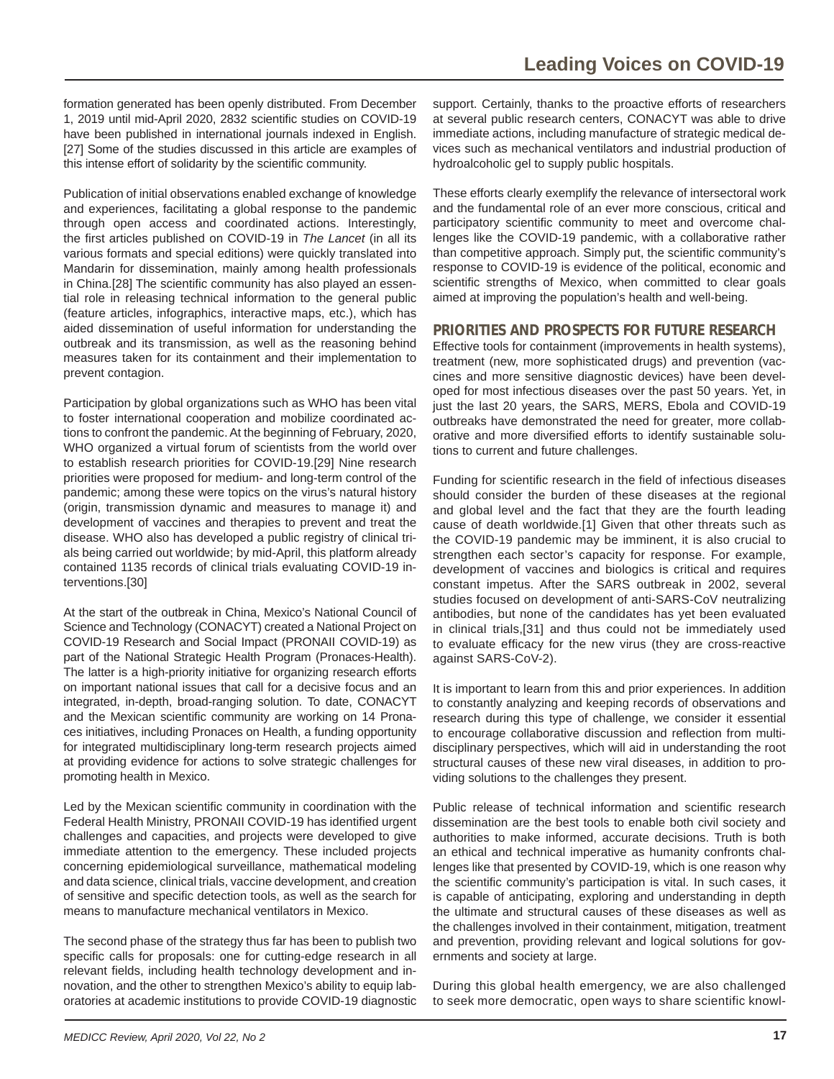formation generated has been openly distributed. From December 1, 2019 until mid-April 2020, 2832 scientific studies on COVID-19 have been published in international journals indexed in English. [27] Some of the studies discussed in this article are examples of this intense effort of solidarity by the scientific community.

Publication of initial observations enabled exchange of knowledge and experiences, facilitating a global response to the pandemic through open access and coordinated actions. Interestingly, the first articles published on COVID-19 in *The Lancet* (in all its various formats and special editions) were quickly translated into Mandarin for dissemination, mainly among health professionals in China.[28] The scientific community has also played an essential role in releasing technical information to the general public (feature articles, infographics, interactive maps, etc.), which has aided dissemination of useful information for understanding the outbreak and its transmission, as well as the reasoning behind measures taken for its containment and their implementation to prevent contagion.

Participation by global organizations such as WHO has been vital to foster international cooperation and mobilize coordinated actions to confront the pandemic. At the beginning of February, 2020, WHO organized a virtual forum of scientists from the world over to establish research priorities for COVID-19.[29] Nine research priorities were proposed for medium- and long-term control of the pandemic; among these were topics on the virus's natural history (origin, transmission dynamic and measures to manage it) and development of vaccines and therapies to prevent and treat the disease. WHO also has developed a public registry of clinical trials being carried out worldwide; by mid-April, this platform already contained 1135 records of clinical trials evaluating COVID-19 interventions.[30]

At the start of the outbreak in China, Mexico's National Council of Science and Technology (CONACYT) created a National Project on COVID-19 Research and Social Impact (PRONAII COVID-19) as part of the National Strategic Health Program (Pronaces-Health). The latter is a high-priority initiative for organizing research efforts on important national issues that call for a decisive focus and an integrated, in-depth, broad-ranging solution. To date, CONACYT and the Mexican scientific community are working on 14 Pronaces initiatives, including Pronaces on Health, a funding opportunity for integrated multidisciplinary long-term research projects aimed at providing evidence for actions to solve strategic challenges for promoting health in Mexico.

Led by the Mexican scientific community in coordination with the Federal Health Ministry, PRONAII COVID-19 has identified urgent challenges and capacities, and projects were developed to give immediate attention to the emergency. These included projects concerning epidemiological surveillance, mathematical modeling and data science, clinical trials, vaccine development, and creation of sensitive and specific detection tools, as well as the search for means to manufacture mechanical ventilators in Mexico.

The second phase of the strategy thus far has been to publish two specific calls for proposals: one for cutting-edge research in all relevant fields, including health technology development and innovation, and the other to strengthen Mexico's ability to equip laboratories at academic institutions to provide COVID-19 diagnostic support. Certainly, thanks to the proactive efforts of researchers at several public research centers, CONACYT was able to drive immediate actions, including manufacture of strategic medical devices such as mechanical ventilators and industrial production of hydroalcoholic gel to supply public hospitals.

These efforts clearly exemplify the relevance of intersectoral work and the fundamental role of an ever more conscious, critical and participatory scientific community to meet and overcome challenges like the COVID-19 pandemic, with a collaborative rather than competitive approach. Simply put, the scientific community's response to COVID-19 is evidence of the political, economic and scientific strengths of Mexico, when committed to clear goals aimed at improving the population's health and well-being.

#### **PRIORITIES AND PROSPECTS FOR FUTURE RESEARCH**

Effective tools for containment (improvements in health systems), treatment (new, more sophisticated drugs) and prevention (vaccines and more sensitive diagnostic devices) have been developed for most infectious diseases over the past 50 years. Yet, in just the last 20 years, the SARS, MERS, Ebola and COVID-19 outbreaks have demonstrated the need for greater, more collaborative and more diversified efforts to identify sustainable solutions to current and future challenges.

Funding for scientific research in the field of infectious diseases should consider the burden of these diseases at the regional and global level and the fact that they are the fourth leading cause of death worldwide.[1] Given that other threats such as the COVID-19 pandemic may be imminent, it is also crucial to strengthen each sector's capacity for response. For example, development of vaccines and biologics is critical and requires constant impetus. After the SARS outbreak in 2002, several studies focused on development of anti-SARS-CoV neutralizing antibodies, but none of the candidates has yet been evaluated in clinical trials,[31] and thus could not be immediately used to evaluate efficacy for the new virus (they are cross-reactive against SARS-CoV-2).

It is important to learn from this and prior experiences. In addition to constantly analyzing and keeping records of observations and research during this type of challenge, we consider it essential to encourage collaborative discussion and reflection from multidisciplinary perspectives, which will aid in understanding the root structural causes of these new viral diseases, in addition to providing solutions to the challenges they present.

Public release of technical information and scientific research dissemination are the best tools to enable both civil society and authorities to make informed, accurate decisions. Truth is both an ethical and technical imperative as humanity confronts challenges like that presented by COVID-19, which is one reason why the scientific community's participation is vital. In such cases, it is capable of anticipating, exploring and understanding in depth the ultimate and structural causes of these diseases as well as the challenges involved in their containment, mitigation, treatment and prevention, providing relevant and logical solutions for governments and society at large.

During this global health emergency, we are also challenged to seek more democratic, open ways to share scientific knowl-